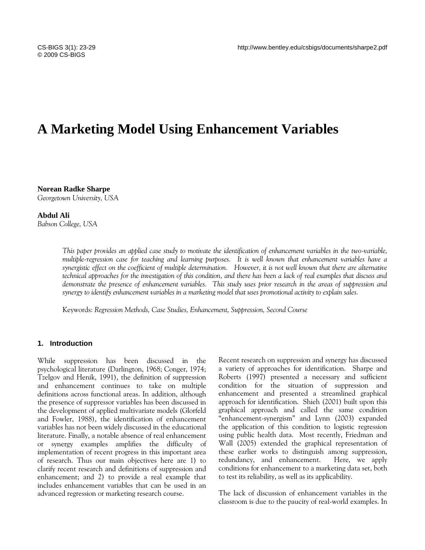# **A Marketing Model Using Enhancement Variables**

**Norean Radke Sharpe** *Georgetown University, USA*

**Abdul Ali** *Babson College, USA*

> *This paper provides an applied case study to motivate the identification of enhancement variables in the two-variable, multiple-regression case for teaching and learning purposes. It is well known that enhancement variables have a synergistic effect on the coefficient of multiple determination. However, it is not well known that there are alternative technical approaches for the investigation of this condition, and there has been a lack of real examples that discuss and demonstrate the presence of enhancement variables. This study uses prior research in the areas of suppression and synergy to identify enhancement variables in a marketing model that uses promotional activity to explain sales.*

Keywords: *Regression Methods, Case Studies, Enhancement, Suppression, Second Course*

### **1. Introduction**

While suppression has been discussed in the psychological literature (Darlington, 1968; Conger, 1974; Tzelgov and Henik, 1991), the definition of suppression and enhancement continues to take on multiple definitions across functional areas. In addition, although the presence of suppressor variables has been discussed in the development of applied multivariate models (Glorfeld and Fowler, 1988), the identification of enhancement variables has not been widely discussed in the educational literature. Finally, a notable absence of real enhancement or synergy examples amplifies the difficulty of implementation of recent progress in this important area of research. Thus our main objectives here are 1) to clarify recent research and definitions of suppression and enhancement; and 2) to provide a real example that includes enhancement variables that can be used in an advanced regression or marketing research course.

Recent research on suppression and synergy has discussed a variety of approaches for identification. Sharpe and Roberts (1997) presented a necessary and sufficient condition for the situation of suppression and enhancement and presented a streamlined graphical approach for identification. Shieh (2001) built upon this graphical approach and called the same condition "enhancement-synergism" and Lynn (2003) expanded the application of this condition to logistic regression using public health data. Most recently, Friedman and Wall (2005) extended the graphical representation of these earlier works to distinguish among suppression, redundancy, and enhancement. Here, we apply conditions for enhancement to a marketing data set, both to test its reliability, as well as its applicability.

The lack of discussion of enhancement variables in the classroom is due to the paucity of real-world examples. In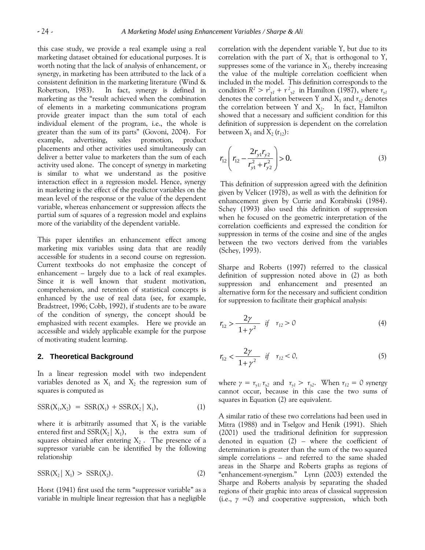this case study, we provide a real example using a real marketing dataset obtained for educational purposes. It is worth noting that the lack of analysis of enhancement, or synergy, in marketing has been attributed to the lack of a consistent definition in the marketing literature (Wind & Robertson, 1983). In fact, synergy is defined in marketing as the "result achieved when the combination of elements in a marketing communications program provide greater impact than the sum total of each individual element of the program, i.e., the whole is greater than the sum of its parts" (Govoni, 2004). For example, advertising, sales promotion, product placements and other activities used simultaneously can deliver a better value to marketers than the sum of each activity used alone. The concept of synergy in marketing is similar to what we understand as the positive interaction effect in a regression model. Hence, synergy in marketing is the effect of the predictor variables on the mean level of the response or the value of the dependent variable, whereas enhancement or suppression affects the partial sum of squares of a regression model and explains more of the variability of the dependent variable.

This paper identifies an enhancement effect among marketing mix variables using data that are readily accessible for students in a second course on regression. Current textbooks do not emphasize the concept of enhancement – largely due to a lack of real examples. Since it is well known that student motivation, comprehension, and retention of statistical concepts is enhanced by the use of real data (see, for example, Bradstreet, 1996; Cobb, 1992), if students are to be aware of the condition of synergy, the concept should be emphasized with recent examples. Here we provide an accessible and widely applicable example for the purpose of motivating student learning.

#### **2. Theoretical Background**

In a linear regression model with two independent variables denoted as  $X_1$  and  $X_2$  the regression sum of squares is computed as

$$
SSR(X_1, X_2) = SSR(X_1) + SSR(X_2 | X_1), \t(1)
$$

where it is arbitrarily assumed that  $X_1$  is the variable entered first and  $SSR(X_2 | X_1)$ , is the extra sum of squares obtained after entering  $X_2$ . The presence of a suppressor variable can be identified by the following relationship

$$
SSR(X_2 | X_1) > SSR(X_2). \tag{2}
$$

Horst (1941) first used the term "suppressor variable" as a variable in multiple linear regression that has a negligible correlation with the dependent variable Y, but due to its correlation with the part of  $X_1$  that is orthogonal to Y, suppresses some of the variance in  $X_1$ , thereby increasing the value of the multiple correlation coefficient when included in the model. This definition corresponds to the condition  $R^2 > r^2_{y1} + r^2_{y2}$  in Hamilton (1987), where  $r_{y1}$ denotes the correlation between Y and  $X_1$  and  $r_{y2}$  denotes the correlation between Y and  $X_2$ . In fact, Hamilton showed that a necessary and sufficient condition for this definition of suppression is dependent on the correlation between  $X_1$  and  $X_2$  ( $r_{12}$ ):

$$
r_{12}\left(r_{12}-\frac{2r_{y1}r_{y2}}{r_{y1}^2+r_{y2}^2}\right) > 0.
$$
 (3)

This definition of suppression agreed with the definition given by Velicer (1978), as well as with the definition for enhancement given by Currie and Korabinski (1984). Schey (1993) also used this definition of suppression when he focused on the geometric interpretation of the correlation coefficients and expressed the condition for suppression in terms of the cosine and sine of the angles between the two vectors derived from the variables (Schey, 1993).

Sharpe and Roberts (1997) referred to the classical definition of suppression noted above in (2) as both suppression and enhancement and presented an alternative form for the necessary and sufficient condition for suppression to facilitate their graphical analysis:

$$
r_{12} > \frac{2\gamma}{1+\gamma^2} \quad \text{if} \quad r_{12} > 0 \tag{4}
$$

$$
r_{12} < \frac{2\gamma}{1+\gamma^2} \quad \text{if} \quad r_{12} < 0,\tag{5}
$$

where  $\gamma = r_{y1}/r_{y2}$  and  $r_{y1} > r_{y2}$ . When  $r_{12} = 0$  synergy cannot occur, because in this case the two sums of squares in Equation (2) are equivalent.

A similar ratio of these two correlations had been used in Mitra (1988) and in Tselgov and Henik (1991). Shieh (2001) used the traditional definition for suppression denoted in equation (2) – where the coefficient of determination is greater than the sum of the two squared simple correlations – and referred to the same shaded areas in the Sharpe and Roberts graphs as regions of "enhancement-synergism." Lynn (2003) extended the Sharpe and Roberts analysis by separating the shaded regions of their graphic into areas of classical suppression (i.e., *γ =0*) and cooperative suppression, which both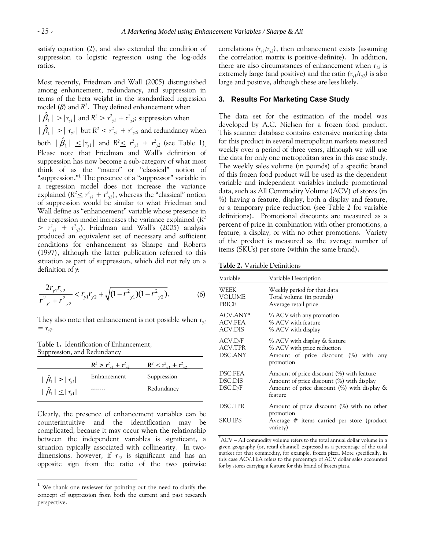satisfy equation (2), and also extended the condition of suppression to logistic regression using the log-odds ratios.

Most recently, Friedman and Wall (2005) distinguished among enhancement, redundancy, and suppression in terms of the beta weight in the standardized regression model (*β*) and *R 2* . They defined enhancement when

 $|\hat{\beta}_1| > |r_{y1}|$  and  $R^2 > r_{y1}^2 + r_{y2}^2$ ; suppression when  $|\hat{\beta}_1| > |r_{y1}|$  but  $R^2 \leq r_{y1}^2 + r_{y2}^2$ ; and redundancy when both  $|\hat{\beta}_1| \leq |r_{y1}|$  and  $R^2 \leq r_{y1}^2 + r_{y2}^2$  (see Table 1). Please note that Friedman and Wall's definition of suppression has now become a sub-category of what most think of as the "macro" or "classical" notion of "suppression."**<sup>1</sup>** The presence of a "suppressor" variable in a regression model does not increase the variance explained ( $R^2 \leq r^2_{y1} + r^2_{y2}$ ), whereas the "classical" notion of suppression would be similar to what Friedman and Wall define as "enhancement" variable whose presence in the regression model increases the variance explained (*R 2*  $> r<sup>2</sup>_{y1} + r<sup>2</sup>_{y2}$ . Friedman and Wall's (2005) analysis produced an equivalent set of necessary and sufficient conditions for enhancement as Sharpe and Roberts (1997), although the latter publication referred to this situation as part of suppression, which did not rely on a definition of *γ:*

$$
\frac{2r_{y1}r_{y2}}{r_{y1}^2 + r_{y2}^2} < r_{y1}r_{y2} + \sqrt{(1 - r_{y1}^2)(1 - r_{y2}^2)}.
$$
\n<sup>(6)</sup>

They also note that enhancement is not possible when *ry1*  $= r_{y2}$ .

**Table 1.** Identification of Enhancement, Suppression, and Redundancy

l

|                                    | $R^2 > r_{\nu l}^2 + r_{\nu l}^2$ | $R^2 < r_{\nu1}^2 + r_{\nu2}^2$ |
|------------------------------------|-----------------------------------|---------------------------------|
| $ \hat{\beta}_1  >  r_{\gamma l} $ | Enhancement                       | Suppression                     |
| $ \hat{\beta}_1  \leq  r_{y1} $    | .                                 | Redundancy                      |

Clearly, the presence of enhancement variables can be counterintuitive and the identification may be complicated, because it may occur when the relationship between the independent variables is significant, a situation typically associated with collinearity. In twodimensions, however, if  $r_{12}$  is significant and has an opposite sign from the ratio of the two pairwise correlations  $(r_{\gamma1}/r_{\gamma2})$ , then enhancement exists (assuming the correlation matrix is positive-definite). In addition, there are also circumstances of enhancement when  $r_{12}$  is extremely large (and positive) and the ratio  $(r_{\gamma1}/r_{\gamma2})$  is also large and positive, although these are less likely.

#### **3. Results For Marketing Case Study**

The data set for the estimation of the model was developed by A.C. Nielsen for a frozen food product. This scanner database contains extensive marketing data for this product in several metropolitan markets measured weekly over a period of three years, although we will use the data for only one metropolitan area in this case study. The weekly sales volume (in pounds) of a specific brand of this frozen food product will be used as the dependent variable and independent variables include promotional data, such as All Commodity Volume (ACV) of stores (in %) having a feature, display, both a display and feature, or a temporary price reduction (see Table 2 for variable definitions). Promotional discounts are measured as a percent of price in combination with other promotions, a feature, a display, or with no other promotions. Variety of the product is measured as the average number of items (SKUs) per store (within the same brand).

**Table 2.** Variable Definitions

| Variable                              | Variable Description                                                                                                                                   |
|---------------------------------------|--------------------------------------------------------------------------------------------------------------------------------------------------------|
| WEEK<br><b>VOLUME</b><br><b>PRICE</b> | Weekly period for that data<br>Total volume (in pounds)<br>Average retail price                                                                        |
| ACV.ANY*<br>ACV.FEA<br>ACV.DIS        | % ACV with any promotion<br>% ACV with feature<br>% ACV with display                                                                                   |
| ACV.D/F<br>ACV.TPR<br>DSC.ANY         | % ACV with display & feature<br>% ACV with price reduction<br>Amount of price discount (%) with any<br>promotion                                       |
| DSC.FEA<br>DSC.DIS<br>DSC.D/F         | Amount of price discount (%) with feature<br>Amount of price discount (%) with display<br>Amount of price discount $(\%)$ with display $\&$<br>feature |
| DSC.TPR                               | Amount of price discount (%) with no other                                                                                                             |
| SKU.IPS                               | promotion<br>Average $#$ items carried per store (product<br>variety)                                                                                  |

<sup>\*</sup>ACV – All commodity volume refers to the total annual dollar volume in a given geography (or, retail channel) expressed as a percentage of the total market for that commodity, for example, frozen pizza. More specifically, in this case ACV.FEA refers to the percentage of ACV dollar sales accounted for by stores carrying a feature for this brand of frozen pizza.

We thank one reviewer for pointing out the need to clarify the concept of suppression from both the current and past research perspective.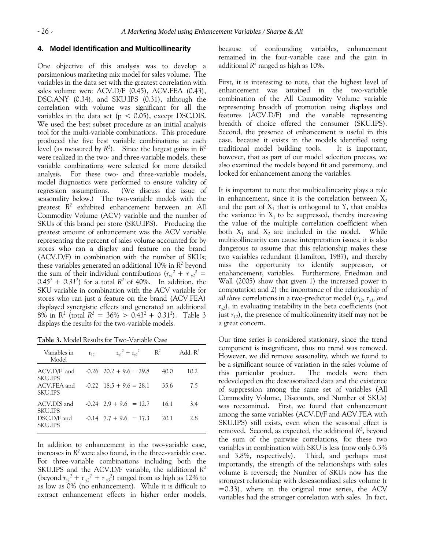#### **4. Model Identification and Multicollinearity**

One objective of this analysis was to develop a parsimonious marketing mix model for sales volume. The variables in the data set with the greatest correlation with sales volume were ACV.D/F (0.45), ACV.FEA (0.43), DSC.ANY (0.34), and SKU.IPS (0.31), although the correlation with volume was significant for all the variables in the data set ( $p < 0.05$ ), except DSC.DIS. We used the best subset procedure as an initial analysis tool for the multi-variable combinations. This procedure produced the five best variable combinations at each level (as measured by *R 2* ). Since the largest gains in *R 2* were realized in the two- and three-variable models, these variable combinations were selected for more detailed analysis. For these two- and three-variable models, model diagnostics were performed to ensure validity of regression assumptions. (We discuss the issue of seasonality below.) The two-variable models with the greatest *R 2* exhibited enhancement between an All Commodity Volume (ACV) variable and the number of SKUs of this brand per store (SKU.IPS). Producing the greatest amount of enhancement was the ACV variable representing the percent of sales volume accounted for by stores who ran a display and feature on the brand (ACV.D/F) in combination with the number of SKUs; these variables generated an additional 10% in *R 2* beyond the sum of their individual contributions  $(r_{y1}^2 + r_{y2}^2)$  $0.45^2 + 0.31^2$  for a total  $R^2$  of 40%. In addition, the SKU variable in combination with the ACV variable for stores who ran just a feature on the brand (ACV.FEA) displayed synergistic effects and generated an additional  $8\%$  in R<sup>2</sup> (total R<sup>2</sup> = 36\% > 0.43<sup>2</sup> + 0.31<sup>2</sup>). Table 3 displays the results for the two-variable models.

**Table 3.** Model Results for Two-Variable Case

| Variables in<br>Model         | $r_{12}$ | $r_{v1}^2 + r_{v2}^2$       | $\mathbb{R}^2$ | Add, $R^2$ |
|-------------------------------|----------|-----------------------------|----------------|------------|
| ACV.D/F and<br><b>SKULIPS</b> |          | $-0.26$ $20.2 + 9.6 = 29.8$ | 40.0           | 10.2       |
| ACV.FEA and<br><b>SKULIPS</b> |          | $-0.22$ 18.5 + 9.6 = 28.1   | 35.6           | 7.5        |
| ACV.DIS and<br><b>SKU.IPS</b> |          | $-0.24$ $2.9 + 9.6 = 12.7$  | 16.1           | 3.4        |
| DSC.D/F and<br><b>SKU.IPS</b> |          | $-0.14$ $7.7 + 9.6 = 17.3$  | 20.1           | 2.8        |

In addition to enhancement in the two-variable case, increases in  $R^2$  were also found, in the three-variable case. For three-variable combinations including both the SKU.IPS and the ACV.D/F variable, the additional *R 2* (beyond  $r_{y1}^2 + r_{y2}^2 + r_{y3}^2$ ) ranged from as high as 12% to as low as 0% (no enhancement). While it is difficult to extract enhancement effects in higher order models,

because of confounding variables, enhancement remained in the four-variable case and the gain in additional  $R^2$  ranged as high as 10%.

First, it is interesting to note, that the highest level of enhancement was attained in the two-variable combination of the All Commodity Volume variable representing breadth of promotion using displays and features (ACV.D/F) and the variable representing breadth of choice offered the consumer (SKU.IPS). Second, the presence of enhancement is useful in this case, because it exists in the models identified using traditional model building tools. It is important, however, that as part of our model selection process, we also examined the models beyond fit and parsimony, and looked for enhancement among the variables.

It is important to note that multicollinearity plays a role in enhancement, since it is the correlation between  $X_2$ and the part of  $X_1$  that is orthogonal to Y, that enables the variance in  $X_1$  to be suppressed, thereby increasing the value of the multiple correlation coefficient when both  $X_1$  and  $X_2$  are included in the model. While multicollinearity can cause interpretation issues, it is also dangerous to assume that this relationship makes these two variables redundant (Hamilton, 1987), and thereby miss the opportunity to identify suppressor, or enahancement, variables. Furthermore, Friedman and Wall (2005) show that given 1) the increased power in computation and 2) the importance of the relationship of *all three* correlations in a two-predictor model (*r12, ry1, and*   $r_{\gamma2}$ ), in evaluating instability in the beta coefficients (not just  $r_{12}$ ), the presence of multicolinearity itself may not be a great concern.

Our time series is considered stationary, since the trend component is insignificant, thus no trend was removed. However, we did remove seasonality, which we found to be a significant source of variation in the sales volume of this particular product. The models were then redeveloped on the deseasonalized data and the existence of suppression among the same set of variables (All Commodity Volume, Discounts, and Number of SKUs) was reexamined. First, we found that enhancement among the same variables (ACV.D/F and ACV.FEA with SKU.IPS) still exists, even when the seasonal effect is removed. Second, as expected, the additional *R 2* , beyond the sum of the pairwise correlations, for these two variables in combination with SKU is less (now only 6.3% and 3.8%, respectively). Third, and perhaps most importantly, the strength of the relationships with sales volume is reversed; the Number of SKUs now has the strongest relationship with deseasonalized sales volume (r =0.33), where in the original time series, the ACV variables had the stronger correlation with sales. In fact,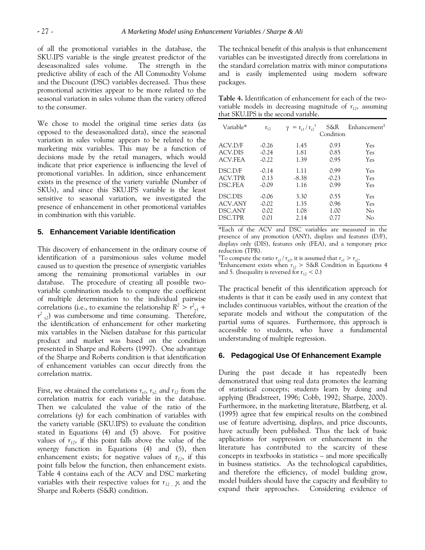of all the promotional variables in the database, the SKU.IPS variable is the single greatest predictor of the deseasonalized sales volume. The strength in the predictive ability of each of the All Commodity Volume and the Discount (DSC) variables decreased. Thus these promotional activities appear to be more related to the seasonal variation in sales volume than the variety offered to the consumer.

We chose to model the original time series data (as opposed to the deseasonalized data), since the seasonal variation in sales volume appears to be related to the marketing mix variables. This may be a function of decisions made by the retail managers, which would indicate that prior experience is influencing the level of promotional variables. In addition, since enhancement exists in the presence of the variety variable (Number of SKUs), and since this SKU.IPS variable is the least sensitive to seasonal variation, we investigated the presence of enhancement in other promotional variables in combination with this variable.

#### **5. Enhancement Variable Identification**

This discovery of enhancement in the ordinary course of identification of a parsimonious sales volume model caused us to question the presence of synergistic variables among the remaining promotional variables in our database. The procedure of creating all possible twovariable combination models to compare the coefficient of multiple determination to the individual pairwise correlations (i.e., to examine the relationship  $R^2 > r_{y1}^2 + r_{z2}^2$  $r^2$ <sub>y2</sub>) was cumbersome and time consuming. Therefore, the identification of enhancement for other marketing mix variables in the Nielsen database for this particular product and market was based on the condition presented in Sharpe and Roberts (1997). One advantage of the Sharpe and Roberts condition is that identification of enhancement variables can occur directly from the correlation matrix.

First, we obtained the correlations  $r_{y1}$ ,  $r_{y2}$ , and  $r_{12}$  from the correlation matrix for each variable in the database. Then we calculated the value of the ratio of the correlations  $(y)$  for each combination of variables with the variety variable (SKU.IPS) to evaluate the condition stated in Equations (4) and (5) above. For positive values of  $r_{12}$ , if this point falls above the value of the synergy function in Equations (4) and (5), then enhancement exists; for negative values of  $r_{12}$ , if this point falls below the function, then enhancement exists. Table 4 contains each of the ACV and DSC marketing variables with their respective values for  $r_{12}$ ,  $\gamma$ , and the Sharpe and Roberts (S&R) condition.

The technical benefit of this analysis is that enhancement variables can be investigated directly from correlations in the standard correlation matrix with minor computations and is easily implemented using modern software packages.

**Table 4.** Identification of enhancement for each of the twovariable models in decreasing magnitude of  $r_{12}$ , assuming that SKU.IPS is the second variable.

| Variable* | $r_{12}$ | $\gamma = r_{y1} / r_{y2}^{\dagger}$ | S&R<br>Condition | Enhancement <sup>‡</sup> |
|-----------|----------|--------------------------------------|------------------|--------------------------|
| ACV.D/F   | $-0.26$  | 1.45                                 | 0.93             | Yes                      |
| ACV.DIS   | $-0.24$  | 1.81                                 | 0.85             | Yes                      |
| ACV FEA   | $-0.22$  | 1.39                                 | 0.95             | Yes                      |
| DSC.D/F   | -0.14    | 1.11                                 | 0.99             | Yes                      |
| ACV.TPR   | 0.13     | $-8.38$                              | $-0.23$          | Yes                      |
| DSC.FEA   | $-0.09$  | 1.16                                 | 0.99             | Yes                      |
| DSC.DIS   | $-0.06$  | 3.30                                 | 0.55             | Yes                      |
| ACV.ANY   | $-0.02$  | 1.35                                 | 0.96             | Yes                      |
| DSC.ANY   | 0.02     | 1.08                                 | 1.00             | No                       |
| DSC.TPR   | 0.01     | 2.14                                 | 0.77             | No                       |

\*Each of the ACV and DSC variables are measured in the presence of any promotion (ANY), displays and features (D/F), displays only (DIS), features only (FEA), and a temporary price reduction (TPR).

<sup>†</sup>To compute the ratio  $r_{v1} / r_{v2}$ , it is assumed that  $r_{v1} > r_{v2}$ .

**‡**Enhancement exists when *r<sup>12</sup>* > S&R Condition in Equations 4 and 5. (Inequality is reversed for  $r_{12}$  < 0.)

The practical benefit of this identification approach for students is that it can be easily used in any context that includes continuous variables, without the creation of the separate models and without the computation of the partial sums of squares. Furthermore, this approach is accessible to students, who have a fundamental understanding of multiple regression.

#### **6. Pedagogical Use Of Enhancement Example**

During the past decade it has repeatedly been demonstrated that using real data promotes the learning of statistical concepts; students learn by doing and applying (Bradstreet, 1996; Cobb, 1992; Sharpe, 2000). Furthermore, in the marketing literature, Blattberg, et al. (1995) agree that few empirical results on the combined use of feature advertising, displays, and price discounts, have actually been published. Thus the lack of basic applications for suppression or enhancement in the literature has contributed to the scarcity of these concepts in textbooks in statistics – and more specifically in business statistics. As the technological capabilities, and therefore the efficiency, of model building grow, model builders should have the capacity and flexibility to expand their approaches. Considering evidence of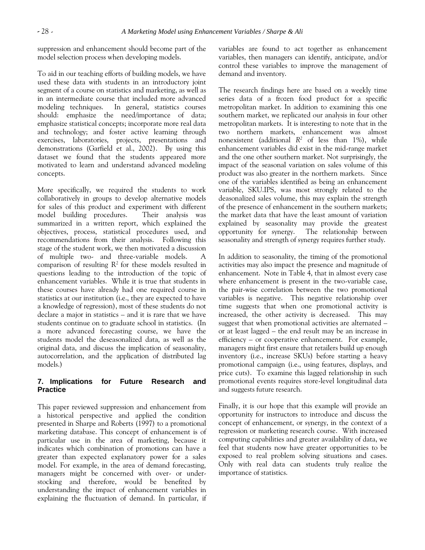suppression and enhancement should become part of the model selection process when developing models.

To aid in our teaching efforts of building models, we have used these data with students in an introductory joint segment of a course on statistics and marketing, as well as in an intermediate course that included more advanced modeling techniques. In general, statistics courses should: emphasize the need/importance of data; emphasize statistical concepts; incorporate more real data and technology; and foster active learning through exercises, laboratories, projects, presentations and demonstrations (Garfield et al., 2002). By using this dataset we found that the students appeared more motivated to learn and understand advanced modeling concepts.

More specifically, we required the students to work collaboratively in groups to develop alternative models for sales of this product and experiment with different model building procedures. Their analysis was summarized in a written report, which explained the objectives, process, statistical procedures used, and recommendations from their analysis. Following this stage of the student work, we then motivated a discussion of multiple two- and three-variable models. A comparison of resulting  $\mathbb{R}^2$  for these models resulted in questions leading to the introduction of the topic of enhancement variables. While it is true that students in these courses have already had one required course in statistics at our institution (i.e., they are expected to have a knowledge of regression), most of these students do not declare a major in statistics – and it is rare that we have students continue on to graduate school in statistics. (In a more advanced forecasting course, we have the students model the deseasonalized data, as well as the original data, and discuss the implication of seasonality, autocorrelation, and the application of distributed lag models.)

## **7. Implications for Future Research and Practice**

This paper reviewed suppression and enhancement from a historical perspective and applied the condition presented in Sharpe and Roberts (1997) to a promotional marketing database. This concept of enhancement is of particular use in the area of marketing, because it indicates which combination of promotions can have a greater than expected explanatory power for a sales model. For example, in the area of demand forecasting, managers might be concerned with over- or understocking and therefore, would be benefited by understanding the impact of enhancement variables in explaining the fluctuation of demand. In particular, if variables are found to act together as enhancement variables, then managers can identify, anticipate, and/or control these variables to improve the management of demand and inventory.

The research findings here are based on a weekly time series data of a frozen food product for a specific metropolitan market. In addition to examining this one southern market, we replicated our analysis in four other metropolitan markets. It is interesting to note that in the two northern markets, enhancement was almost nonexistent (additional  $R^2$  of less than 1%), while enhancement variables did exist in the mid-range market and the one other southern market. Not surprisingly, the impact of the seasonal variation on sales volume of this product was also greater in the northern markets. Since one of the variables identified as being an enhancement variable, SKU.IPS, was most strongly related to the deasonalized sales volume, this may explain the strength of the presence of enhancement in the southern markets; the market data that have the least amount of variation explained by seasonality may provide the greatest opportunity for synergy. The relationship between seasonality and strength of synergy requires further study.

In addition to seasonality, the timing of the promotional activities may also impact the presence and magnitude of enhancement. Note in Table 4, that in almost every case where enhancement is present in the two-variable case, the pair-wise correlation between the two promotional variables is negative. This negative relationship over time suggests that when one promotional activity is increased, the other activity is decreased. This may suggest that when promotional activities are alternated – or at least lagged – the end result may be an increase in efficiency – or cooperative enhancement. For example, managers might first ensure that retailers build up enough inventory (i.e., increase SKUs) before starting a heavy promotional campaign (i.e., using features, displays, and price cuts). To examine this lagged relationship in such promotional events requires store-level longitudinal data and suggests future research.

Finally, it is our hope that this example will provide an opportunity for instructors to introduce and discuss the concept of enhancement, or synergy, in the context of a regression or marketing research course. With increased computing capabilities and greater availability of data, we feel that students now have greater opportunities to be exposed to real problem solving situations and cases. Only with real data can students truly realize the importance of statistics.